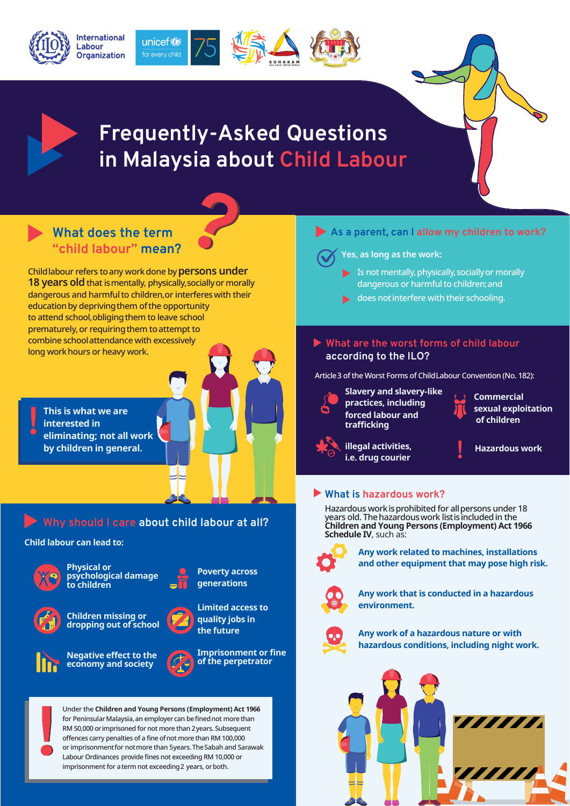



# **What does the term "child labour" mean?**

Childlabour refers toany workdone by**persons under 18 years old** that is mentally, physically, socially or morally dangerous and harmful to children, or interferes with their education by depriving them of the opportunity to attend school, obliging them to leave school prematurely, or requiring them to attempt to combine schoolattendance with excessively long workhours or heavy work.

**This is what we are interested in eliminating; not all work by children in general.**

# **Why should I care about child labour at all?**

### **Child labour can lead to:**



**Physical or psychological damage to children**



**Children missing or dropping out of school**

**Negative effect to the economy and society**



**quality jobs in the future**

> **Imprisonment or fine of the perpetrator**

**Poverty across generations**

**Limited access to**

Under the **Children and Young Persons (Employment) Act 1966** for Peninsular Malaysia, an employer can be fined not more than RM 50,000 orimprisoned for not more than 2years. Subsequent offences carry penalties of a fine ofnot more than RM 100,000 or imprisonmentfor notmore than 5years.TheSabah and Sarawak Labour Ordinances provide fines not exceeding RM 10,000 or imprisonment for aterm not exceeding2 years, orboth.

## **As a parent, can I allow my children to work?**

**Yes, as long as the work:**

- $\blacktriangleright$  Is not mentally, physically, socially or morally dangerous or harmful to children; and
- does notinterfere with their schooling.

### **What are the worst forms of child labour according to the ILO?**

Article3 of the Worst Forms of ChildLabour Convention (No. 182):



**Slavery and slavery-like practices, including forced labour and trafficking**

**Commercial sexual exploitation of children**

**Hazardous work**

## **What is hazardous work?**

**illegal activities, i.e. drug courier**

Hazardous work is prohibited for all persons under 18 years old. The hazardous work list is included in the **Children and Young Persons (Employment) Act 1966 Schedule IV**, such as:



**Any work related to machines, installations and other equipment that may pose high risk.**



**Any work that is conducted in a hazardous environment.**



**Any work of a hazardous nature or with hazardous conditions, including night work.**